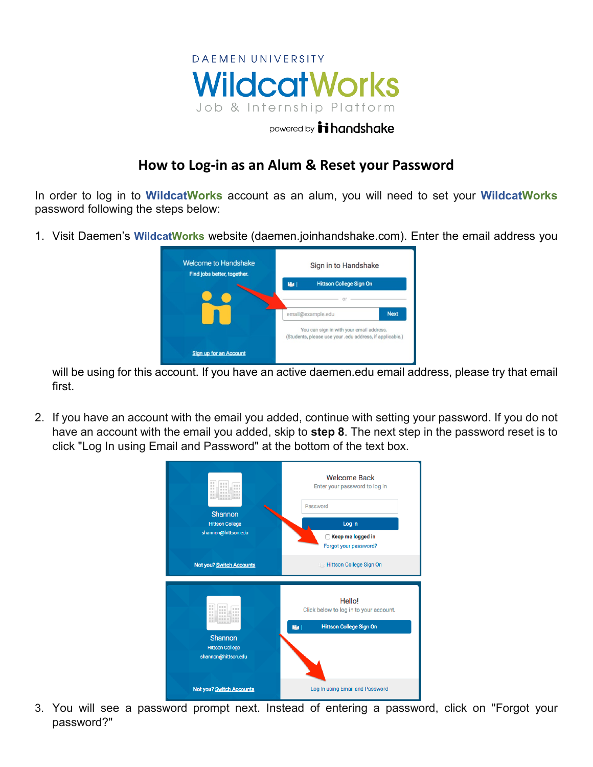

## powered by **it handshake**

## **How to Log-in as an Alum & Reset your Password**

In order to log in to **WildcatWorks** account as an alum, you will need to set your **WildcatWorks** password following the steps below:

1. Visit Daemen's **WildcatWorks** website (daemen.joinhandshake.com). Enter the email address you



will be using for this account. If you have an active daemen.edu email address, please try that email first.

2. If you have an account with the email you added, continue with setting your password. If you do not have an account with the email you added, skip to **step 8**. The next step in the password reset is to click "Log In using Email and Password" at the bottom of the text box.



3. You will see a password prompt next. Instead of entering a password, click on "Forgot your password?"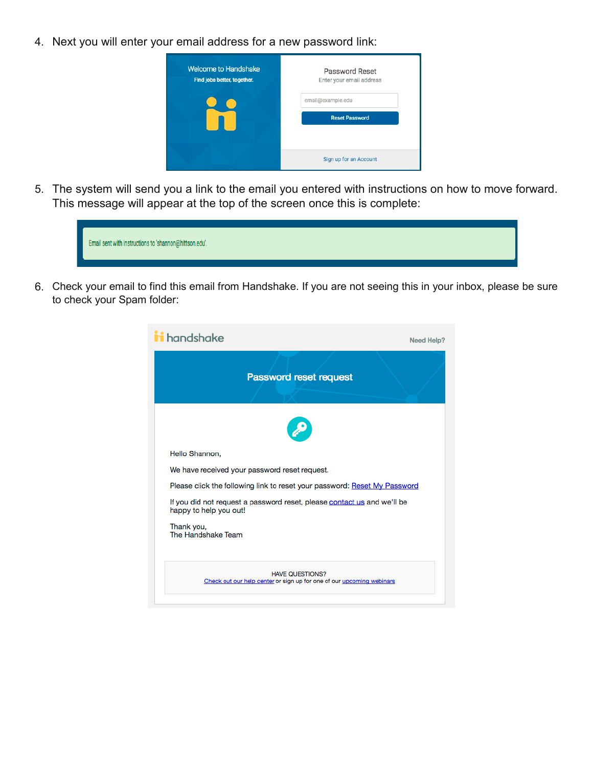4. Next you will enter your email address for a new password link:

| <b>Welcome to Handshake</b><br>Find jobs better, together. | <b>Password Reset</b><br>Enter your email address |
|------------------------------------------------------------|---------------------------------------------------|
|                                                            | email@example.edu                                 |
|                                                            | <b>Reset Password</b>                             |
|                                                            | Sign up for an Account                            |

5. The system will send you a link to the email you entered with instructions on how to move forward. This message will appear at the top of the screen once this is complete:

| Email sent with instructions to 'shannon@hittson.edu'. |  |
|--------------------------------------------------------|--|
|                                                        |  |
|                                                        |  |

6. Check your email to find this email from Handshake. If you are not seeing this in your inbox, please be sure to check your Spam folder:

| handshake                        |                                                                                                 | <b>Need Help?</b> |
|----------------------------------|-------------------------------------------------------------------------------------------------|-------------------|
|                                  | <b>Password reset request</b>                                                                   |                   |
|                                  |                                                                                                 |                   |
| Hello Shannon,                   |                                                                                                 |                   |
|                                  | We have received your password reset request.                                                   |                   |
|                                  | Please click the following link to reset your password: Reset My Password                       |                   |
| happy to help you out!           | If you did not request a password reset, please contact us and we'll be                         |                   |
| Thank you,<br>The Handshake Team |                                                                                                 |                   |
|                                  | <b>HAVE QUESTIONS?</b><br>Check out our help center or sign up for one of our upcoming webinars |                   |